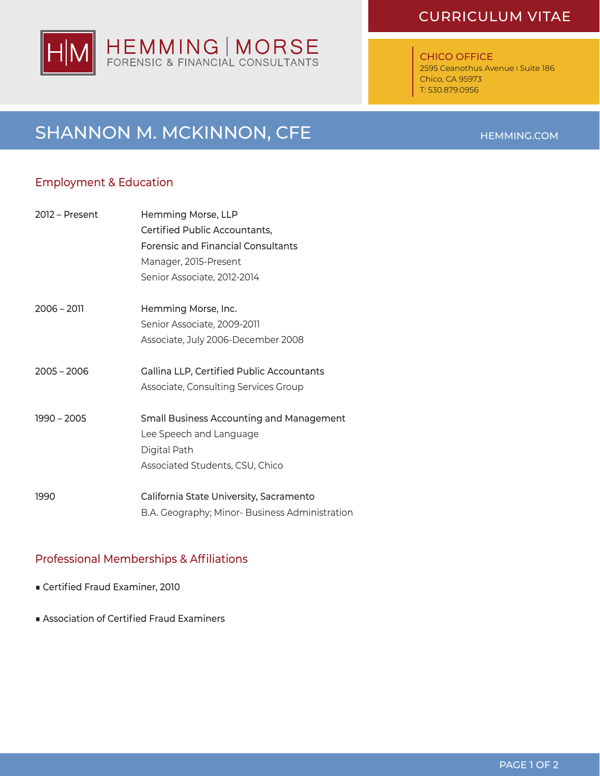# HEMMING | MORSE<br>FORENSIC & FINANCIAL CONSULTANTS

### CURRICULUM VITAE

#### CHICO OFFICE

2595 Ceanothus Avenue I Suite 186 Chico, CA 95973 T: 530.879.0956

# SHANNON M. MCKINNON, CFE

#### Employment & Education

| 2012 – Present | Hemming Morse, LLP                             |
|----------------|------------------------------------------------|
|                | Certified Public Accountants,                  |
|                | <b>Forensic and Financial Consultants</b>      |
|                | Manager, 2015-Present                          |
|                | Senior Associate, 2012-2014                    |
| $2006 - 2011$  | Hemming Morse, Inc.                            |
|                | Senior Associate, 2009-2011                    |
|                | Associate, July 2006-December 2008             |
| $2005 - 2006$  | Gallina LLP, Certified Public Accountants      |
|                | Associate, Consulting Services Group           |
| $1990 - 2005$  | Small Business Accounting and Management       |
|                | Lee Speech and Language                        |
|                | Digital Path                                   |
|                | Associated Students, CSU, Chico                |
| 1990           | California State University, Sacramento        |
|                | B.A. Geography; Minor- Business Administration |

#### Professional Memberships & Affiliations

- Certified Fraud Examiner, 2010
- Association of Certified Fraud Examiners

#### PAGE 1 OF 2

#### HEMMING.COM